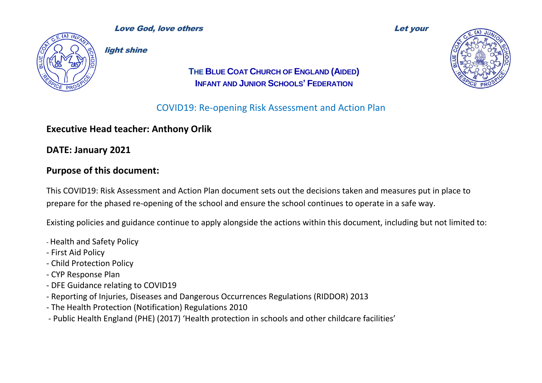

light shine

### **THE BLUE COAT CHURCH OF ENGLAND (AIDED) INFANT AND JUNIOR SCHOOLS' FEDERATION**

# COVID19: Re-opening Risk Assessment and Action Plan

# **Executive Head teacher: Anthony Orlik**

**DATE: January 2021**

### **Purpose of this document:**

This COVID19: Risk Assessment and Action Plan document sets out the decisions taken and measures put in place to prepare for the phased re-opening of the school and ensure the school continues to operate in a safe way.

Existing policies and guidance continue to apply alongside the actions within this document, including but not limited to:

- Health and Safety Policy
- First Aid Policy
- Child Protection Policy
- CYP Response Plan
- DFE Guidance relating to COVID19
- Reporting of Injuries, Diseases and Dangerous Occurrences Regulations (RIDDOR) 2013
- The Health Protection (Notification) Regulations 2010
- Public Health England (PHE) (2017) 'Health protection in schools and other childcare facilities'

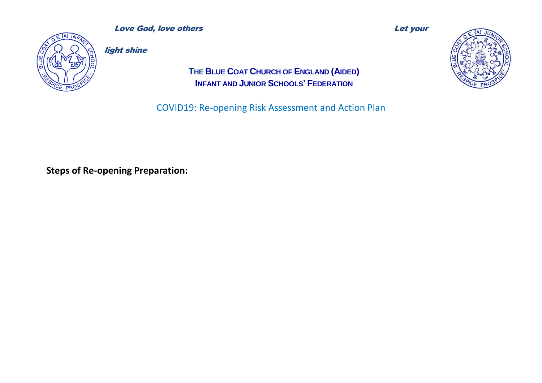

**Love God, love others and the contract of the Contract of the Contract of the Contract of the Let your let your** 

light shine

**THE BLUE COAT CHURCH OF ENGLAND (AIDED) INFANT AND JUNIOR SCHOOLS' FEDERATION**

COVID19: Re-opening Risk Assessment and Action Plan



**Steps of Re-opening Preparation:**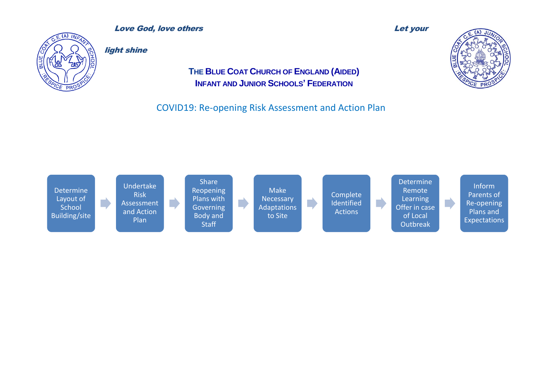

**Love God, love others and the contract of the Contract of the Let your let your let your let your let your let** 

light shine

### **THE BLUE COAT CHURCH OF ENGLAND (AIDED) INFANT AND JUNIOR SCHOOLS' FEDERATION**



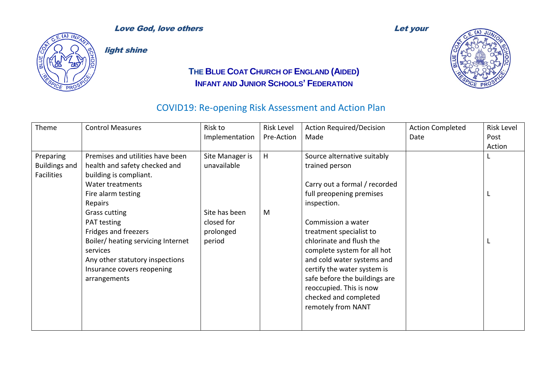

light shine

### **THE BLUE COAT CHURCH OF ENGLAND (AIDED) INFANT AND JUNIOR SCHOOLS' FEDERATION**



| Theme                | <b>Control Measures</b>            | Risk to         | <b>Risk Level</b> | <b>Action Required/Decision</b> | <b>Action Completed</b> | <b>Risk Level</b> |
|----------------------|------------------------------------|-----------------|-------------------|---------------------------------|-------------------------|-------------------|
|                      |                                    | Implementation  | Pre-Action        | Made                            | Date                    | Post              |
|                      |                                    |                 |                   |                                 |                         | Action            |
| Preparing            | Premises and utilities have been   | Site Manager is | H                 | Source alternative suitably     |                         |                   |
| <b>Buildings and</b> | health and safety checked and      | unavailable     |                   | trained person                  |                         |                   |
| <b>Facilities</b>    | building is compliant.             |                 |                   |                                 |                         |                   |
|                      | Water treatments                   |                 |                   | Carry out a formal / recorded   |                         |                   |
|                      | Fire alarm testing                 |                 |                   | full preopening premises        |                         |                   |
|                      | Repairs                            |                 |                   | inspection.                     |                         |                   |
|                      | Grass cutting                      | Site has been   | M                 |                                 |                         |                   |
|                      | PAT testing                        | closed for      |                   | Commission a water              |                         |                   |
|                      | Fridges and freezers               | prolonged       |                   | treatment specialist to         |                         |                   |
|                      | Boiler/ heating servicing Internet | period          |                   | chlorinate and flush the        |                         |                   |
|                      | services                           |                 |                   | complete system for all hot     |                         |                   |
|                      | Any other statutory inspections    |                 |                   | and cold water systems and      |                         |                   |
|                      | Insurance covers reopening         |                 |                   | certify the water system is     |                         |                   |
|                      | arrangements                       |                 |                   | safe before the buildings are   |                         |                   |
|                      |                                    |                 |                   | reoccupied. This is now         |                         |                   |
|                      |                                    |                 |                   | checked and completed           |                         |                   |
|                      |                                    |                 |                   | remotely from NANT              |                         |                   |
|                      |                                    |                 |                   |                                 |                         |                   |
|                      |                                    |                 |                   |                                 |                         |                   |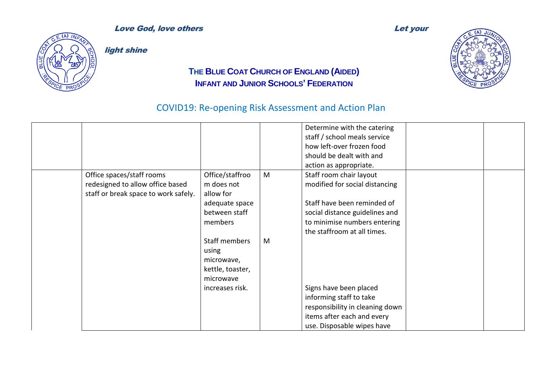#### **Love God, love others and the contract of the Contract of Let your contract of the Let your contract of the Let your contract of the Contract of the Contract of the Contract of the Contract of the Contract of the Contract**



light shine

### **THE BLUE COAT CHURCH OF ENGLAND (AIDED) INFANT AND JUNIOR SCHOOLS' FEDERATION**

### COVID19: Re-opening Risk Assessment and Action Plan

Determine with the catering staff / school meals service how left-over frozen food should be dealt with and action as appropriate. Office spaces/staff rooms redesigned to allow office based staff or break space to work safely. Office/staffroo m does not allow for adequate space between staff members Staff members using microwave, kettle, toaster, microwave increases risk. M M Staff room chair layout modified for social distancing Staff have been reminded of social distance guidelines and to minimise numbers entering the staffroom at all times. Signs have been placed informing staff to take responsibility in cleaning down items after each and every use. Disposable wipes have

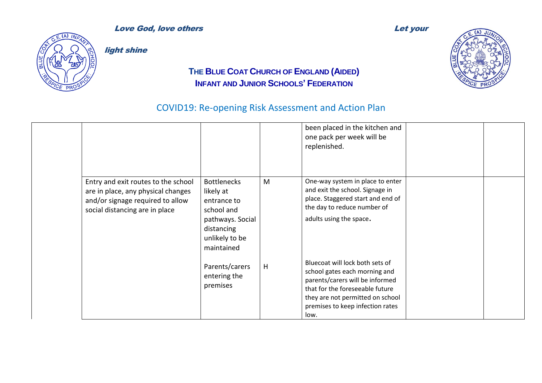

light shine

### **THE BLUE COAT CHURCH OF ENGLAND (AIDED) INFANT AND JUNIOR SCHOOLS' FEDERATION**

|                                                                                                                                                 |                                                                                                                                |   | been placed in the kitchen and<br>one pack per week will be<br>replenished.                                                                                                                                            |  |
|-------------------------------------------------------------------------------------------------------------------------------------------------|--------------------------------------------------------------------------------------------------------------------------------|---|------------------------------------------------------------------------------------------------------------------------------------------------------------------------------------------------------------------------|--|
| Entry and exit routes to the school<br>are in place, any physical changes<br>and/or signage required to allow<br>social distancing are in place | <b>Bottlenecks</b><br>likely at<br>entrance to<br>school and<br>pathways. Social<br>distancing<br>unlikely to be<br>maintained | M | One-way system in place to enter<br>and exit the school. Signage in<br>place. Staggered start and end of<br>the day to reduce number of<br>adults using the space.                                                     |  |
|                                                                                                                                                 | Parents/carers<br>entering the<br>premises                                                                                     | H | Bluecoat will lock both sets of<br>school gates each morning and<br>parents/carers will be informed<br>that for the foreseeable future<br>they are not permitted on school<br>premises to keep infection rates<br>low. |  |

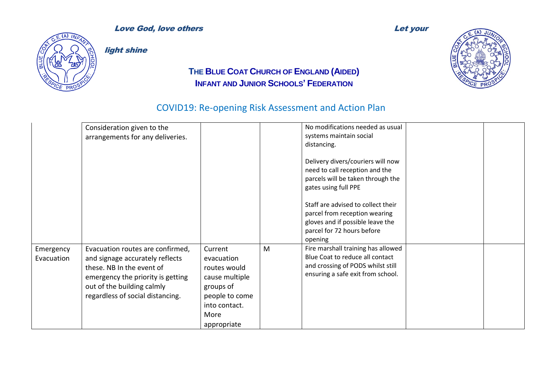

light shine

### **THE BLUE COAT CHURCH OF ENGLAND (AIDED) INFANT AND JUNIOR SCHOOLS' FEDERATION**

|                         | Consideration given to the<br>arrangements for any deliveries.                                                                                                                                          |                                                                                                                                |   | No modifications needed as usual<br>systems maintain social<br>distancing.<br>Delivery divers/couriers will now<br>need to call reception and the<br>parcels will be taken through the<br>gates using full PPE<br>Staff are advised to collect their<br>parcel from reception wearing<br>gloves and if possible leave the<br>parcel for 72 hours before<br>opening |  |
|-------------------------|---------------------------------------------------------------------------------------------------------------------------------------------------------------------------------------------------------|--------------------------------------------------------------------------------------------------------------------------------|---|--------------------------------------------------------------------------------------------------------------------------------------------------------------------------------------------------------------------------------------------------------------------------------------------------------------------------------------------------------------------|--|
| Emergency<br>Evacuation | Evacuation routes are confirmed,<br>and signage accurately reflects<br>these. NB In the event of<br>emergency the priority is getting<br>out of the building calmly<br>regardless of social distancing. | Current<br>evacuation<br>routes would<br>cause multiple<br>groups of<br>people to come<br>into contact.<br>More<br>appropriate | M | Fire marshall training has allowed<br>Blue Coat to reduce all contact<br>and crossing of PODS whilst still<br>ensuring a safe exit from school.                                                                                                                                                                                                                    |  |

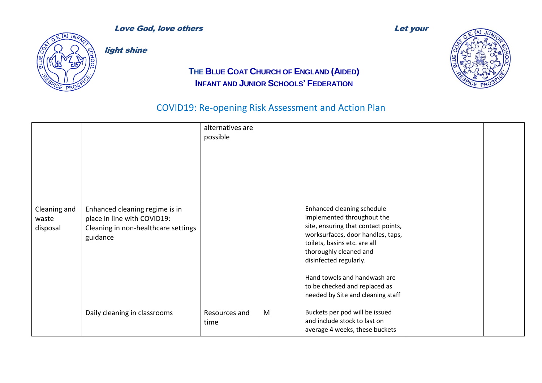



light shine

### **THE BLUE COAT CHURCH OF ENGLAND (AIDED) INFANT AND JUNIOR SCHOOLS' FEDERATION**

|                                   |                                                                                                                  | alternatives are<br>possible |   |                                                                                                                                                                                                                                                                                                                                |  |
|-----------------------------------|------------------------------------------------------------------------------------------------------------------|------------------------------|---|--------------------------------------------------------------------------------------------------------------------------------------------------------------------------------------------------------------------------------------------------------------------------------------------------------------------------------|--|
| Cleaning and<br>waste<br>disposal | Enhanced cleaning regime is in<br>place in line with COVID19:<br>Cleaning in non-healthcare settings<br>guidance |                              |   | Enhanced cleaning schedule<br>implemented throughout the<br>site, ensuring that contact points,<br>worksurfaces, door handles, taps,<br>toilets, basins etc. are all<br>thoroughly cleaned and<br>disinfected regularly.<br>Hand towels and handwash are<br>to be checked and replaced as<br>needed by Site and cleaning staff |  |
|                                   | Daily cleaning in classrooms                                                                                     | Resources and<br>time        | M | Buckets per pod will be issued<br>and include stock to last on<br>average 4 weeks, these buckets                                                                                                                                                                                                                               |  |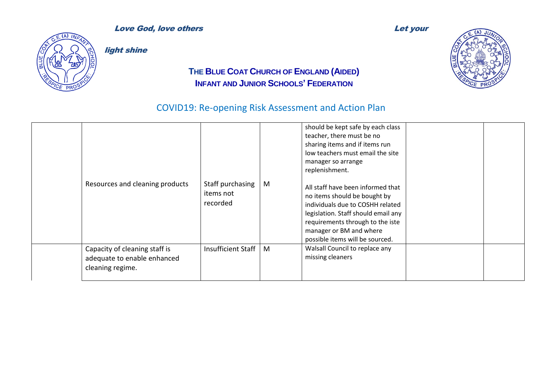



light shine

### **THE BLUE COAT CHURCH OF ENGLAND (AIDED) INFANT AND JUNIOR SCHOOLS' FEDERATION**

| Resources and cleaning products                                                  | Staff purchasing<br>items not<br>recorded | M | should be kept safe by each class<br>teacher, there must be no<br>sharing items and if items run<br>low teachers must email the site<br>manager so arrange<br>replenishment.<br>All staff have been informed that<br>no items should be bought by<br>individuals due to COSHH related<br>legislation. Staff should email any<br>requirements through to the iste<br>manager or BM and where<br>possible items will be sourced. |  |
|----------------------------------------------------------------------------------|-------------------------------------------|---|--------------------------------------------------------------------------------------------------------------------------------------------------------------------------------------------------------------------------------------------------------------------------------------------------------------------------------------------------------------------------------------------------------------------------------|--|
| Capacity of cleaning staff is<br>adequate to enable enhanced<br>cleaning regime. | Insufficient Staff                        | M | Walsall Council to replace any<br>missing cleaners                                                                                                                                                                                                                                                                                                                                                                             |  |

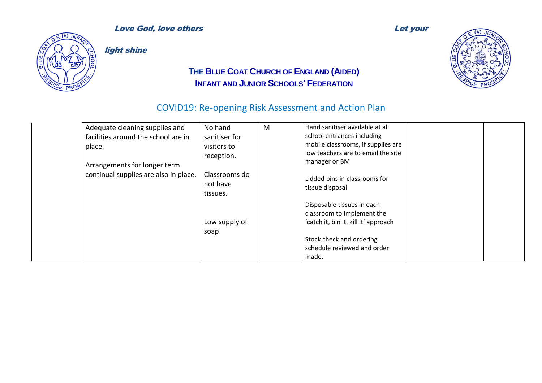

light shine

### **THE BLUE COAT CHURCH OF ENGLAND (AIDED) INFANT AND JUNIOR SCHOOLS' FEDERATION**



| Adequate cleaning supplies and        | No hand                   | M | Hand sanitiser available at all      |  |
|---------------------------------------|---------------------------|---|--------------------------------------|--|
| facilities around the school are in   | sanitiser for             |   | school entrances including           |  |
| place.                                | visitors to               |   | mobile classrooms, if supplies are   |  |
|                                       | reception.                |   | low teachers are to email the site   |  |
| Arrangements for longer term          |                           |   | manager or BM                        |  |
| continual supplies are also in place. | Classrooms do<br>not have |   | Lidded bins in classrooms for        |  |
|                                       | tissues.                  |   | tissue disposal                      |  |
|                                       |                           |   |                                      |  |
|                                       |                           |   | Disposable tissues in each           |  |
|                                       |                           |   | classroom to implement the           |  |
|                                       | Low supply of             |   | 'catch it, bin it, kill it' approach |  |
|                                       | soap                      |   |                                      |  |
|                                       |                           |   | Stock check and ordering             |  |
|                                       |                           |   | schedule reviewed and order          |  |
|                                       |                           |   | made.                                |  |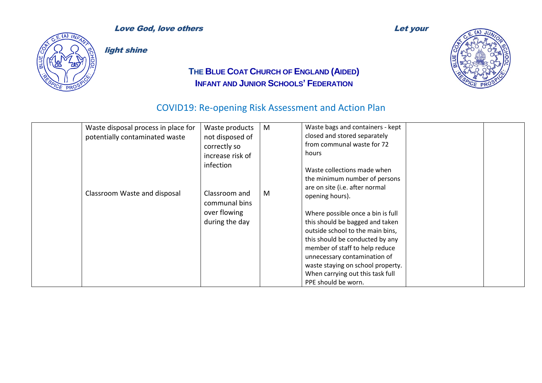

light shine

### **THE BLUE COAT CHURCH OF ENGLAND (AIDED) INFANT AND JUNIOR SCHOOLS' FEDERATION**



| Waste disposal process in place for | Waste products                                                                | M | Waste bags and containers - kept                                                                                                                                                                                                                                                                                                                                                                                                   |  |
|-------------------------------------|-------------------------------------------------------------------------------|---|------------------------------------------------------------------------------------------------------------------------------------------------------------------------------------------------------------------------------------------------------------------------------------------------------------------------------------------------------------------------------------------------------------------------------------|--|
| potentially contaminated waste      | not disposed of                                                               |   | closed and stored separately                                                                                                                                                                                                                                                                                                                                                                                                       |  |
|                                     | correctly so                                                                  |   | from communal waste for 72                                                                                                                                                                                                                                                                                                                                                                                                         |  |
|                                     | increase risk of                                                              |   | hours                                                                                                                                                                                                                                                                                                                                                                                                                              |  |
| Classroom Waste and disposal        | infection<br>Classroom and<br>communal bins<br>over flowing<br>during the day | M | Waste collections made when<br>the minimum number of persons<br>are on site (i.e. after normal<br>opening hours).<br>Where possible once a bin is full<br>this should be bagged and taken<br>outside school to the main bins,<br>this should be conducted by any<br>member of staff to help reduce<br>unnecessary contamination of<br>waste staying on school property.<br>When carrying out this task full<br>PPE should be worn. |  |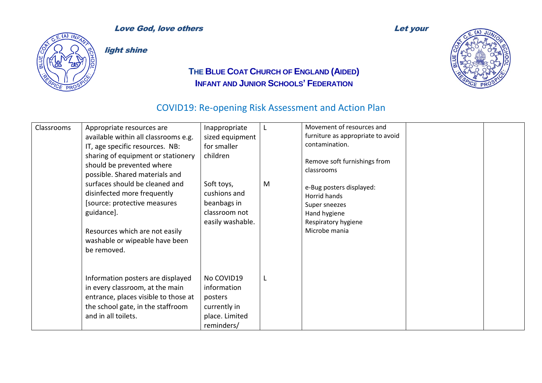

light shine

### **THE BLUE COAT CHURCH OF ENGLAND (AIDED) INFANT AND JUNIOR SCHOOLS' FEDERATION**



| Classrooms | Appropriate resources are<br>available within all classrooms e.g.<br>IT, age specific resources. NB:<br>sharing of equipment or stationery<br>should be prevented where<br>possible. Shared materials and<br>surfaces should be cleaned and<br>disinfected more frequently<br>[source: protective measures]<br>guidance].<br>Resources which are not easily<br>washable or wipeable have been<br>be removed. | Inappropriate<br>sized equipment<br>for smaller<br>children<br>Soft toys,<br>cushions and<br>beanbags in<br>classroom not<br>easily washable. | M | Movement of resources and<br>furniture as appropriate to avoid<br>contamination.<br>Remove soft furnishings from<br>classrooms<br>e-Bug posters displayed:<br>Horrid hands<br>Super sneezes<br>Hand hygiene<br>Respiratory hygiene<br>Microbe mania |  |
|------------|--------------------------------------------------------------------------------------------------------------------------------------------------------------------------------------------------------------------------------------------------------------------------------------------------------------------------------------------------------------------------------------------------------------|-----------------------------------------------------------------------------------------------------------------------------------------------|---|-----------------------------------------------------------------------------------------------------------------------------------------------------------------------------------------------------------------------------------------------------|--|
|            | Information posters are displayed<br>in every classroom, at the main<br>entrance, places visible to those at<br>the school gate, in the staffroom<br>and in all toilets.                                                                                                                                                                                                                                     | No COVID19<br>information<br>posters<br>currently in<br>place. Limited<br>reminders/                                                          | L |                                                                                                                                                                                                                                                     |  |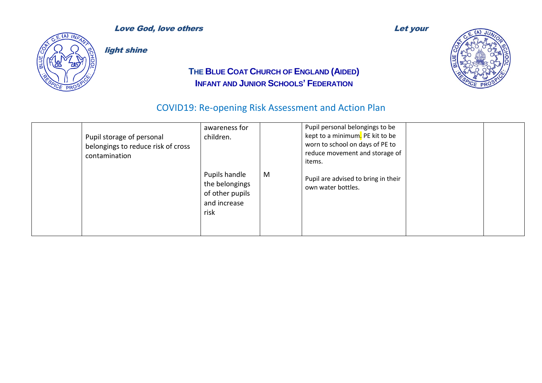

light shine

### **THE BLUE COAT CHURCH OF ENGLAND (AIDED) INFANT AND JUNIOR SCHOOLS' FEDERATION**



| Pupil storage of personal<br>belongings to reduce risk of cross<br>contamination | awareness for<br>children.                                                 |   | Pupil personal belongings to be<br>kept to a minimum. PE kit to be<br>worn to school on days of PE to<br>reduce movement and storage of<br>items. |  |
|----------------------------------------------------------------------------------|----------------------------------------------------------------------------|---|---------------------------------------------------------------------------------------------------------------------------------------------------|--|
|                                                                                  | Pupils handle<br>the belongings<br>of other pupils<br>and increase<br>risk | M | Pupil are advised to bring in their<br>own water bottles.                                                                                         |  |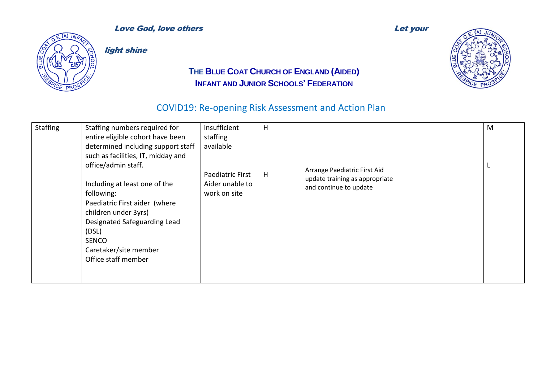

light shine

### **THE BLUE COAT CHURCH OF ENGLAND (AIDED) INFANT AND JUNIOR SCHOOLS' FEDERATION**



| <b>Staffing</b> | Staffing numbers required for      | insufficient     | H |                                                                | M |
|-----------------|------------------------------------|------------------|---|----------------------------------------------------------------|---|
|                 | entire eligible cohort have been   | staffing         |   |                                                                |   |
|                 | determined including support staff | available        |   |                                                                |   |
|                 | such as facilities, IT, midday and |                  |   |                                                                |   |
|                 | office/admin staff.                |                  |   |                                                                |   |
|                 |                                    | Paediatric First | H | Arrange Paediatric First Aid<br>update training as appropriate |   |
|                 | Including at least one of the      | Aider unable to  |   | and continue to update                                         |   |
|                 | following:                         | work on site     |   |                                                                |   |
|                 | Paediatric First aider (where      |                  |   |                                                                |   |
|                 | children under 3yrs)               |                  |   |                                                                |   |
|                 | Designated Safeguarding Lead       |                  |   |                                                                |   |
|                 | (DSL)                              |                  |   |                                                                |   |
|                 | <b>SENCO</b>                       |                  |   |                                                                |   |
|                 | Caretaker/site member              |                  |   |                                                                |   |
|                 | Office staff member                |                  |   |                                                                |   |
|                 |                                    |                  |   |                                                                |   |
|                 |                                    |                  |   |                                                                |   |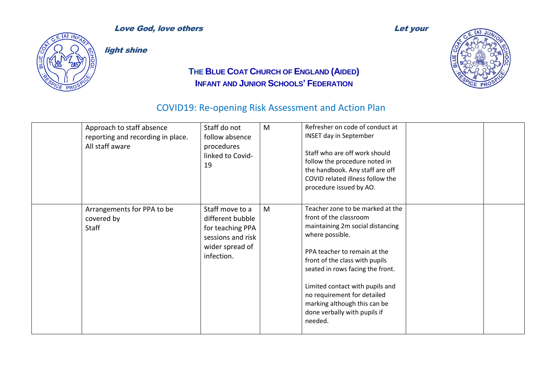

light shine

### **THE BLUE COAT CHURCH OF ENGLAND (AIDED) INFANT AND JUNIOR SCHOOLS' FEDERATION**



| Approach to staff absence<br>reporting and recording in place.<br>All staff aware | Staff do not<br>follow absence<br>procedures<br>linked to Covid-<br>19                                        | M | Refresher on code of conduct at<br><b>INSET day in September</b><br>Staff who are off work should<br>follow the procedure noted in<br>the handbook. Any staff are off<br>COVID related illness follow the<br>procedure issued by AO.                                                                                                                                 |  |
|-----------------------------------------------------------------------------------|---------------------------------------------------------------------------------------------------------------|---|----------------------------------------------------------------------------------------------------------------------------------------------------------------------------------------------------------------------------------------------------------------------------------------------------------------------------------------------------------------------|--|
| Arrangements for PPA to be<br>covered by<br>Staff                                 | Staff move to a<br>different bubble<br>for teaching PPA<br>sessions and risk<br>wider spread of<br>infection. | M | Teacher zone to be marked at the<br>front of the classroom<br>maintaining 2m social distancing<br>where possible.<br>PPA teacher to remain at the<br>front of the class with pupils<br>seated in rows facing the front.<br>Limited contact with pupils and<br>no requirement for detailed<br>marking although this can be<br>done verbally with pupils if<br>needed. |  |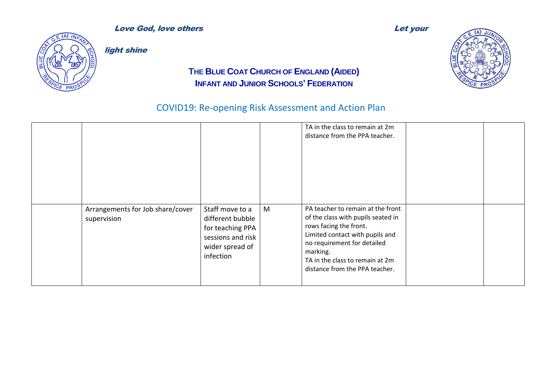



light shine

### **THE BLUE COAT CHURCH OF ENGLAND (AIDED) INFANT AND JUNIOR SCHOOLS' FEDERATION**

|                                                 |                                                                                                              |   | TA in the class to remain at 2m<br>distance from the PPA teacher.                                                                                                                                                                                    |  |
|-------------------------------------------------|--------------------------------------------------------------------------------------------------------------|---|------------------------------------------------------------------------------------------------------------------------------------------------------------------------------------------------------------------------------------------------------|--|
| Arrangements for Job share/cover<br>supervision | Staff move to a<br>different bubble<br>for teaching PPA<br>sessions and risk<br>wider spread of<br>infection | M | PA teacher to remain at the front<br>of the class with pupils seated in<br>rows facing the front.<br>Limited contact with pupils and<br>no requirement for detailed<br>marking.<br>TA in the class to remain at 2m<br>distance from the PPA teacher. |  |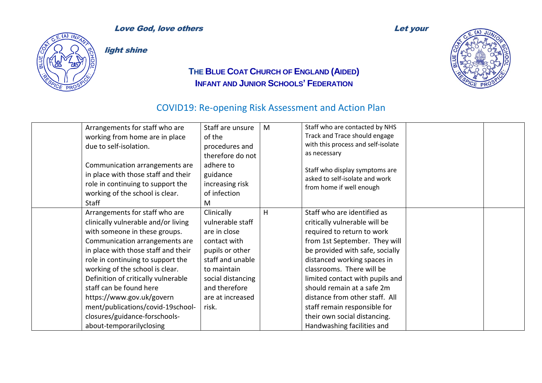

light shine

### **THE BLUE COAT CHURCH OF ENGLAND (AIDED) INFANT AND JUNIOR SCHOOLS' FEDERATION**



| Arrangements for staff who are<br>working from home are in place<br>due to self-isolation.<br>Communication arrangements are<br>in place with those staff and their<br>role in continuing to support the<br>working of the school is clear.<br><b>Staff</b>                                                                                                                                                                                              | Staff are unsure<br>of the<br>procedures and<br>therefore do not<br>adhere to<br>guidance<br>increasing risk<br>of infection<br>M                                                       | M | Staff who are contacted by NHS<br>Track and Trace should engage<br>with this process and self-isolate<br>as necessary<br>Staff who display symptoms are<br>asked to self-isolate and work<br>from home if well enough                                                                                                                                                                                                       |  |
|----------------------------------------------------------------------------------------------------------------------------------------------------------------------------------------------------------------------------------------------------------------------------------------------------------------------------------------------------------------------------------------------------------------------------------------------------------|-----------------------------------------------------------------------------------------------------------------------------------------------------------------------------------------|---|-----------------------------------------------------------------------------------------------------------------------------------------------------------------------------------------------------------------------------------------------------------------------------------------------------------------------------------------------------------------------------------------------------------------------------|--|
| Arrangements for staff who are<br>clinically vulnerable and/or living<br>with someone in these groups.<br>Communication arrangements are<br>in place with those staff and their<br>role in continuing to support the<br>working of the school is clear.<br>Definition of critically vulnerable<br>staff can be found here<br>https://www.gov.uk/govern<br>ment/publications/covid-19school-<br>closures/guidance-forschools-<br>about-temporarilyclosing | Clinically<br>vulnerable staff<br>are in close<br>contact with<br>pupils or other<br>staff and unable<br>to maintain<br>social distancing<br>and therefore<br>are at increased<br>risk. | H | Staff who are identified as<br>critically vulnerable will be<br>required to return to work<br>from 1st September. They will<br>be provided with safe, socially<br>distanced working spaces in<br>classrooms. There will be<br>limited contact with pupils and<br>should remain at a safe 2m<br>distance from other staff. All<br>staff remain responsible for<br>their own social distancing.<br>Handwashing facilities and |  |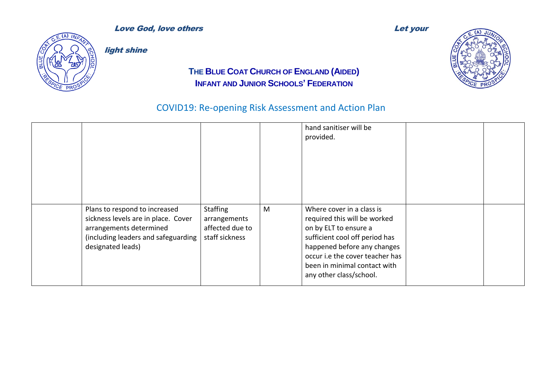



light shine

### **THE BLUE COAT CHURCH OF ENGLAND (AIDED) INFANT AND JUNIOR SCHOOLS' FEDERATION**

|                                                                                                                                                             |                                                                      |   | hand sanitiser will be<br>provided.                                                                                                                                                                                                               |  |
|-------------------------------------------------------------------------------------------------------------------------------------------------------------|----------------------------------------------------------------------|---|---------------------------------------------------------------------------------------------------------------------------------------------------------------------------------------------------------------------------------------------------|--|
| Plans to respond to increased<br>sickness levels are in place. Cover<br>arrangements determined<br>(including leaders and safeguarding<br>designated leads) | <b>Staffing</b><br>arrangements<br>affected due to<br>staff sickness | M | Where cover in a class is<br>required this will be worked<br>on by ELT to ensure a<br>sufficient cool off period has<br>happened before any changes<br>occur i.e the cover teacher has<br>been in minimal contact with<br>any other class/school. |  |

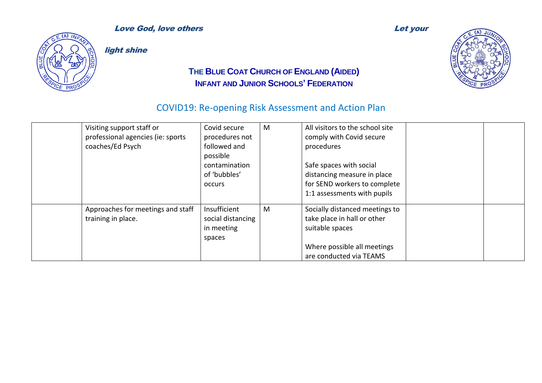

light shine

### **THE BLUE COAT CHURCH OF ENGLAND (AIDED) INFANT AND JUNIOR SCHOOLS' FEDERATION**



| Visiting support staff or<br>professional agencies (ie: sports<br>coaches/Ed Psych | Covid secure<br>procedures not<br>followed and<br>possible<br>contamination<br>of 'bubbles'<br><b>OCCULS</b> | M | All visitors to the school site<br>comply with Covid secure<br>procedures<br>Safe spaces with social<br>distancing measure in place<br>for SEND workers to complete<br>1:1 assessments with pupils |  |
|------------------------------------------------------------------------------------|--------------------------------------------------------------------------------------------------------------|---|----------------------------------------------------------------------------------------------------------------------------------------------------------------------------------------------------|--|
| Approaches for meetings and staff<br>training in place.                            | Insufficient<br>social distancing<br>in meeting<br>spaces                                                    | M | Socially distanced meetings to<br>take place in hall or other<br>suitable spaces<br>Where possible all meetings<br>are conducted via TEAMS                                                         |  |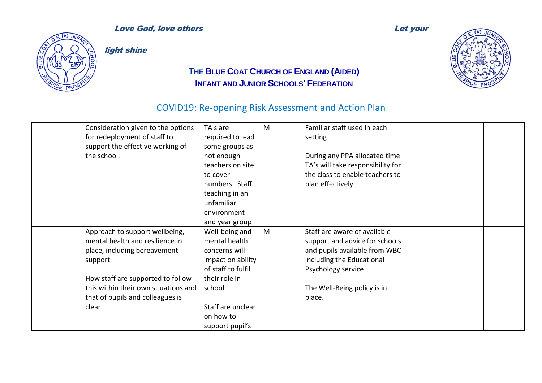

light shine

### **THE BLUE COAT CHURCH OF ENGLAND (AIDED) INFANT AND JUNIOR SCHOOLS' FEDERATION**



| Consideration given to the options   | TA s are           | M | Familiar staff used in each       |  |
|--------------------------------------|--------------------|---|-----------------------------------|--|
| for redeployment of staff to         | required to lead   |   | setting                           |  |
| support the effective working of     | some groups as     |   |                                   |  |
| the school.                          | not enough         |   | During any PPA allocated time     |  |
|                                      | teachers on site   |   | TA's will take responsibility for |  |
|                                      | to cover           |   | the class to enable teachers to   |  |
|                                      | numbers. Staff     |   | plan effectively                  |  |
|                                      | teaching in an     |   |                                   |  |
|                                      | unfamiliar         |   |                                   |  |
|                                      | environment        |   |                                   |  |
|                                      | and year group     |   |                                   |  |
| Approach to support wellbeing,       | Well-being and     | M | Staff are aware of available      |  |
| mental health and resilience in      | mental health      |   | support and advice for schools    |  |
| place, including bereavement         | concerns will      |   | and pupils available from WBC     |  |
| support                              | impact on ability  |   | including the Educational         |  |
|                                      | of staff to fulfil |   | Psychology service                |  |
| How staff are supported to follow    | their role in      |   |                                   |  |
| this within their own situations and | school.            |   | The Well-Being policy is in       |  |
| that of pupils and colleagues is     |                    |   | place.                            |  |
| clear                                | Staff are unclear  |   |                                   |  |
|                                      | on how to          |   |                                   |  |
|                                      | support pupil's    |   |                                   |  |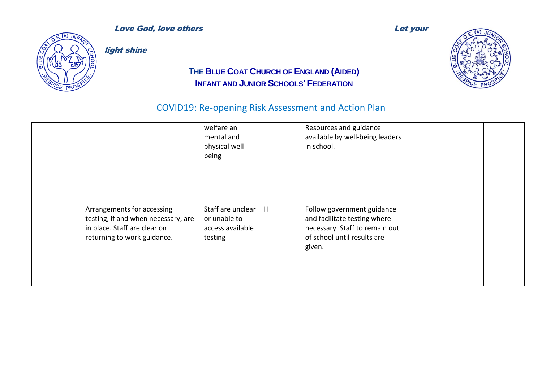



light shine

### **THE BLUE COAT CHURCH OF ENGLAND (AIDED) INFANT AND JUNIOR SCHOOLS' FEDERATION**

|                                                                                                                                  | welfare an<br>mental and<br>physical well-<br>being              |   | Resources and guidance<br>available by well-being leaders<br>in school.                                                               |  |
|----------------------------------------------------------------------------------------------------------------------------------|------------------------------------------------------------------|---|---------------------------------------------------------------------------------------------------------------------------------------|--|
| Arrangements for accessing<br>testing, if and when necessary, are<br>in place. Staff are clear on<br>returning to work guidance. | Staff are unclear<br>or unable to<br>access available<br>testing | H | Follow government guidance<br>and facilitate testing where<br>necessary. Staff to remain out<br>of school until results are<br>given. |  |

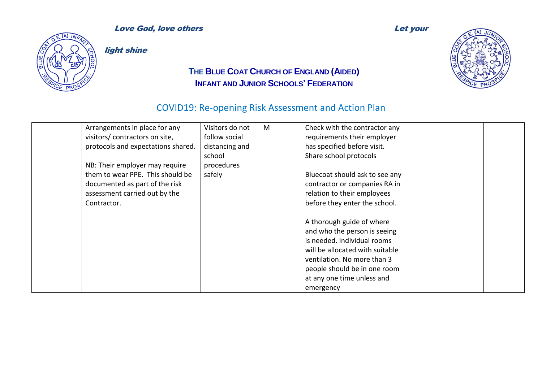

light shine

### **THE BLUE COAT CHURCH OF ENGLAND (AIDED) INFANT AND JUNIOR SCHOOLS' FEDERATION**



| Arrangements in place for any      | Visitors do not | M | Check with the contractor any   |  |
|------------------------------------|-----------------|---|---------------------------------|--|
| visitors/ contractors on site,     | follow social   |   | requirements their employer     |  |
| protocols and expectations shared. | distancing and  |   | has specified before visit.     |  |
|                                    | school          |   | Share school protocols          |  |
| NB: Their employer may require     | procedures      |   |                                 |  |
| them to wear PPE. This should be   | safely          |   | Bluecoat should ask to see any  |  |
| documented as part of the risk     |                 |   | contractor or companies RA in   |  |
| assessment carried out by the      |                 |   | relation to their employees     |  |
| Contractor.                        |                 |   | before they enter the school.   |  |
|                                    |                 |   |                                 |  |
|                                    |                 |   | A thorough guide of where       |  |
|                                    |                 |   | and who the person is seeing    |  |
|                                    |                 |   | is needed. Individual rooms     |  |
|                                    |                 |   | will be allocated with suitable |  |
|                                    |                 |   | ventilation. No more than 3     |  |
|                                    |                 |   | people should be in one room    |  |
|                                    |                 |   | at any one time unless and      |  |
|                                    |                 |   |                                 |  |
|                                    |                 |   | emergency                       |  |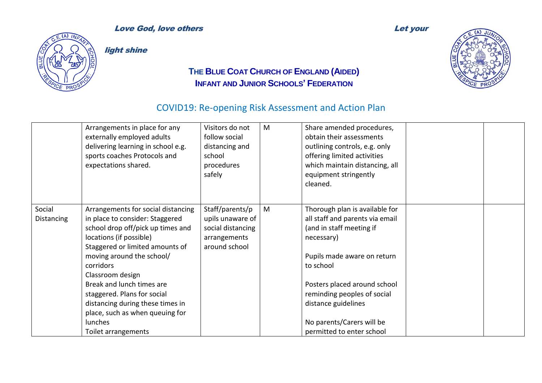

light shine

### **THE BLUE COAT CHURCH OF ENGLAND (AIDED) INFANT AND JUNIOR SCHOOLS' FEDERATION**



|                      | Arrangements in place for any<br>externally employed adults<br>delivering learning in school e.g.<br>sports coaches Protocols and<br>expectations shared.                                                                                                                                                                                                                                                   | Visitors do not<br>follow social<br>distancing and<br>school<br>procedures<br>safely      | M | Share amended procedures,<br>obtain their assessments<br>outlining controls, e.g. only<br>offering limited activities<br>which maintain distancing, all<br>equipment stringently<br>cleaned.                                                                                                            |  |
|----------------------|-------------------------------------------------------------------------------------------------------------------------------------------------------------------------------------------------------------------------------------------------------------------------------------------------------------------------------------------------------------------------------------------------------------|-------------------------------------------------------------------------------------------|---|---------------------------------------------------------------------------------------------------------------------------------------------------------------------------------------------------------------------------------------------------------------------------------------------------------|--|
| Social<br>Distancing | Arrangements for social distancing<br>in place to consider: Staggered<br>school drop off/pick up times and<br>locations (if possible)<br>Staggered or limited amounts of<br>moving around the school/<br>corridors<br>Classroom design<br>Break and lunch times are<br>staggered. Plans for social<br>distancing during these times in<br>place, such as when queuing for<br>lunches<br>Toilet arrangements | Staff/parents/p<br>upils unaware of<br>social distancing<br>arrangements<br>around school | M | Thorough plan is available for<br>all staff and parents via email<br>(and in staff meeting if<br>necessary)<br>Pupils made aware on return<br>to school<br>Posters placed around school<br>reminding peoples of social<br>distance guidelines<br>No parents/Carers will be<br>permitted to enter school |  |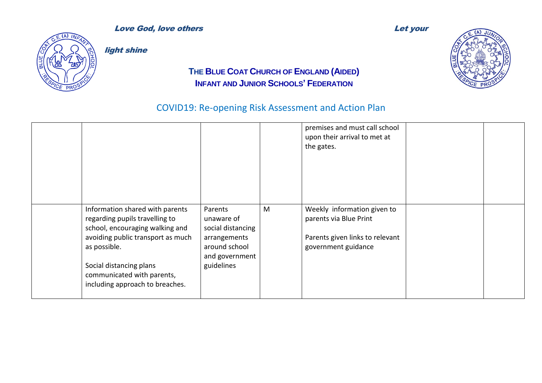



light shine

### **THE BLUE COAT CHURCH OF ENGLAND (AIDED) INFANT AND JUNIOR SCHOOLS' FEDERATION**

|                                                                                                                                                                                                                                                       |                                                                                                             |   | premises and must call school<br>upon their arrival to met at<br>the gates.                                     |  |
|-------------------------------------------------------------------------------------------------------------------------------------------------------------------------------------------------------------------------------------------------------|-------------------------------------------------------------------------------------------------------------|---|-----------------------------------------------------------------------------------------------------------------|--|
| Information shared with parents<br>regarding pupils travelling to<br>school, encouraging walking and<br>avoiding public transport as much<br>as possible.<br>Social distancing plans<br>communicated with parents,<br>including approach to breaches. | Parents<br>unaware of<br>social distancing<br>arrangements<br>around school<br>and government<br>guidelines | M | Weekly information given to<br>parents via Blue Print<br>Parents given links to relevant<br>government guidance |  |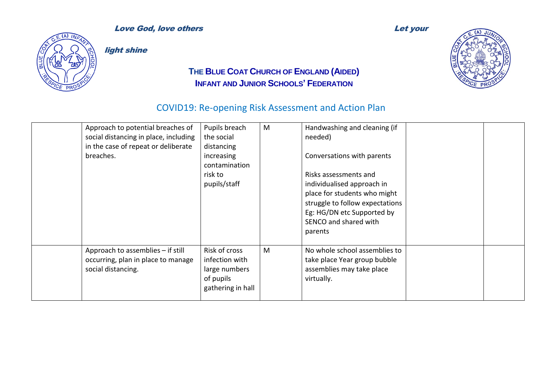

light shine

### **THE BLUE COAT CHURCH OF ENGLAND (AIDED) INFANT AND JUNIOR SCHOOLS' FEDERATION**



| Approach to potential breaches of<br>social distancing in place, including<br>in the case of repeat or deliberate<br>breaches. | Pupils breach<br>the social<br>distancing<br>increasing<br>contamination<br>risk to<br>pupils/staff | M | Handwashing and cleaning (if<br>needed)<br>Conversations with parents<br>Risks assessments and<br>individualised approach in<br>place for students who might<br>struggle to follow expectations<br>Eg: HG/DN etc Supported by<br>SENCO and shared with<br>parents |  |
|--------------------------------------------------------------------------------------------------------------------------------|-----------------------------------------------------------------------------------------------------|---|-------------------------------------------------------------------------------------------------------------------------------------------------------------------------------------------------------------------------------------------------------------------|--|
| Approach to assemblies - if still<br>occurring, plan in place to manage<br>social distancing.                                  | Risk of cross<br>infection with<br>large numbers<br>of pupils<br>gathering in hall                  | M | No whole school assemblies to<br>take place Year group bubble<br>assemblies may take place<br>virtually.                                                                                                                                                          |  |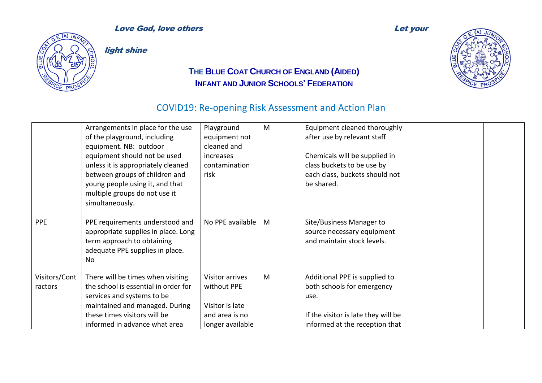

light shine

### **THE BLUE COAT CHURCH OF ENGLAND (AIDED) INFANT AND JUNIOR SCHOOLS' FEDERATION**



|                          | Arrangements in place for the use<br>of the playground, including<br>equipment. NB: outdoor<br>equipment should not be used<br>unless it is appropriately cleaned<br>between groups of children and<br>young people using it, and that<br>multiple groups do not use it<br>simultaneously. | Playground<br>equipment not<br>cleaned and<br>increases<br>contamination<br>risk               | M | Equipment cleaned thoroughly<br>after use by relevant staff<br>Chemicals will be supplied in<br>class buckets to be use by<br>each class, buckets should not<br>be shared. |  |
|--------------------------|--------------------------------------------------------------------------------------------------------------------------------------------------------------------------------------------------------------------------------------------------------------------------------------------|------------------------------------------------------------------------------------------------|---|----------------------------------------------------------------------------------------------------------------------------------------------------------------------------|--|
| <b>PPE</b>               | PPE requirements understood and<br>appropriate supplies in place. Long<br>term approach to obtaining<br>adequate PPE supplies in place.<br>No                                                                                                                                              | No PPE available                                                                               | M | Site/Business Manager to<br>source necessary equipment<br>and maintain stock levels.                                                                                       |  |
| Visitors/Cont<br>ractors | There will be times when visiting<br>the school is essential in order for<br>services and systems to be<br>maintained and managed. During<br>these times visitors will be<br>informed in advance what area                                                                                 | <b>Visitor arrives</b><br>without PPE<br>Visitor is late<br>and area is no<br>longer available | M | Additional PPE is supplied to<br>both schools for emergency<br>use.<br>If the visitor is late they will be<br>informed at the reception that                               |  |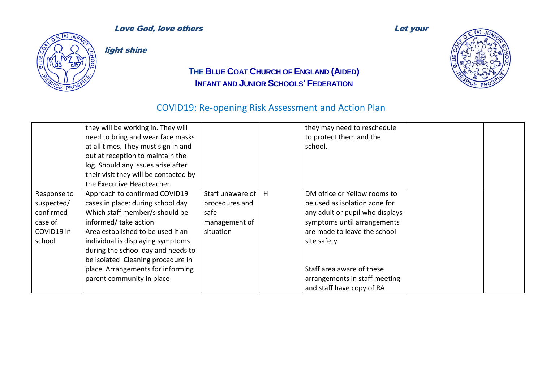

light shine

### **THE BLUE COAT CHURCH OF ENGLAND (AIDED) INFANT AND JUNIOR SCHOOLS' FEDERATION**

|                                                                           | they will be working in. They will<br>need to bring and wear face masks<br>at all times. They must sign in and<br>out at reception to maintain the<br>log. Should any issues arise after<br>their visit they will be contacted by<br>the Executive Headteacher.                                                                                     |                                                                                    | they may need to reschedule<br>to protect them and the<br>school.                                                                                                                                                                                                         |  |
|---------------------------------------------------------------------------|-----------------------------------------------------------------------------------------------------------------------------------------------------------------------------------------------------------------------------------------------------------------------------------------------------------------------------------------------------|------------------------------------------------------------------------------------|---------------------------------------------------------------------------------------------------------------------------------------------------------------------------------------------------------------------------------------------------------------------------|--|
| Response to<br>suspected/<br>confirmed<br>case of<br>COVID19 in<br>school | Approach to confirmed COVID19<br>cases in place: during school day<br>Which staff member/s should be<br>informed/ take action<br>Area established to be used if an<br>individual is displaying symptoms<br>during the school day and needs to<br>be isolated Cleaning procedure in<br>place Arrangements for informing<br>parent community in place | Staff unaware of $\vert$ H<br>procedures and<br>safe<br>management of<br>situation | DM office or Yellow rooms to<br>be used as isolation zone for<br>any adult or pupil who displays<br>symptoms until arrangements<br>are made to leave the school<br>site safety<br>Staff area aware of these<br>arrangements in staff meeting<br>and staff have copy of RA |  |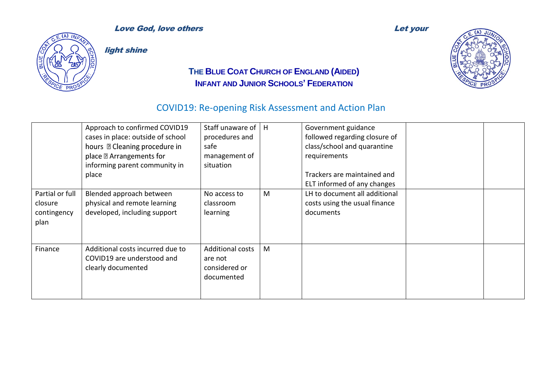

light shine

### **THE BLUE COAT CHURCH OF ENGLAND (AIDED) INFANT AND JUNIOR SCHOOLS' FEDERATION**

|                                                   | Approach to confirmed COVID19<br>cases in place: outside of school<br>hours <b>D</b> Cleaning procedure in<br>place 2 Arrangements for<br>informing parent community in<br>place | Staff unaware of<br>procedures and<br>safe<br>management of<br>situation | H | Government guidance<br>followed regarding closure of<br>class/school and quarantine<br>requirements<br>Trackers are maintained and<br>ELT informed of any changes |  |
|---------------------------------------------------|----------------------------------------------------------------------------------------------------------------------------------------------------------------------------------|--------------------------------------------------------------------------|---|-------------------------------------------------------------------------------------------------------------------------------------------------------------------|--|
| Partial or full<br>closure<br>contingency<br>plan | Blended approach between<br>physical and remote learning<br>developed, including support                                                                                         | No access to<br>classroom<br>learning                                    | M | LH to document all additional<br>costs using the usual finance<br>documents                                                                                       |  |
| Finance                                           | Additional costs incurred due to<br>COVID19 are understood and<br>clearly documented                                                                                             | <b>Additional costs</b><br>are not<br>considered or<br>documented        | M |                                                                                                                                                                   |  |